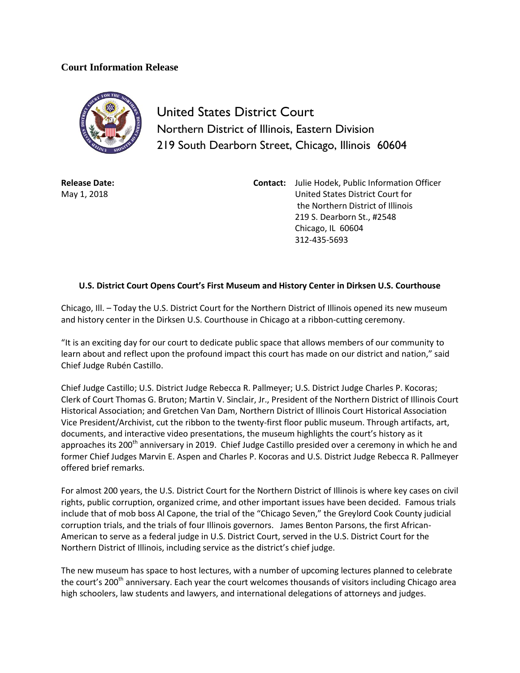## **Court Information Release**



United States District Court Northern District of Illinois, Eastern Division 219 South Dearborn Street, Chicago, Illinois 60604

**Release Date:** May 1, 2018

**Contact:** Julie Hodek, Public Information Officer United States District Court for the Northern District of Illinois 219 S. Dearborn St., #2548 Chicago, IL 60604 312-435-5693

## **U.S. District Court Opens Court's First Museum and History Center in Dirksen U.S. Courthouse**

Chicago, Ill. – Today the U.S. District Court for the Northern District of Illinois opened its new museum and history center in the Dirksen U.S. Courthouse in Chicago at a ribbon-cutting ceremony.

"It is an exciting day for our court to dedicate public space that allows members of our community to learn about and reflect upon the profound impact this court has made on our district and nation," said Chief Judge Rubén Castillo.

Chief Judge Castillo; U.S. District Judge Rebecca R. Pallmeyer; U.S. District Judge Charles P. Kocoras; Clerk of Court Thomas G. Bruton; Martin V. Sinclair, Jr., President of the Northern District of Illinois Court Historical Association; and Gretchen Van Dam, Northern District of Illinois Court Historical Association Vice President/Archivist, cut the ribbon to the twenty-first floor public museum. Through artifacts, art, documents, and interactive video presentations, the museum highlights the court's history as it approaches its 200<sup>th</sup> anniversary in 2019. Chief Judge Castillo presided over a ceremony in which he and former Chief Judges Marvin E. Aspen and Charles P. Kocoras and U.S. District Judge Rebecca R. Pallmeyer offered brief remarks.

For almost 200 years, the U.S. District Court for the Northern District of Illinois is where key cases on civil rights, public corruption, organized crime, and other important issues have been decided. Famous trials include that of mob boss Al Capone, the trial of the "Chicago Seven," the Greylord Cook County judicial corruption trials, and the trials of four Illinois governors. James Benton Parsons, the first African-American to serve as a federal judge in U.S. District Court, served in the U.S. District Court for the Northern District of Illinois, including service as the district's chief judge.

The new museum has space to host lectures, with a number of upcoming lectures planned to celebrate the court's 200<sup>th</sup> anniversary. Each year the court welcomes thousands of visitors including Chicago area high schoolers, law students and lawyers, and international delegations of attorneys and judges.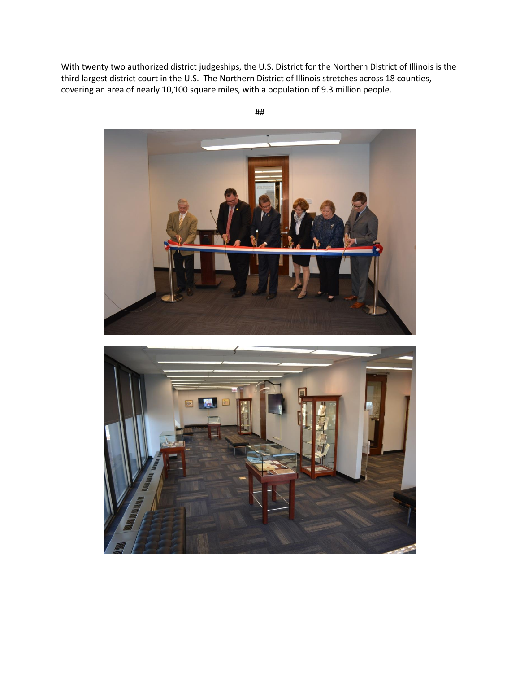With twenty two authorized district judgeships, the U.S. District for the Northern District of Illinois is the third largest district court in the U.S. The Northern District of Illinois stretches across 18 counties, covering an area of nearly 10,100 square miles, with a population of 9.3 million people.





##